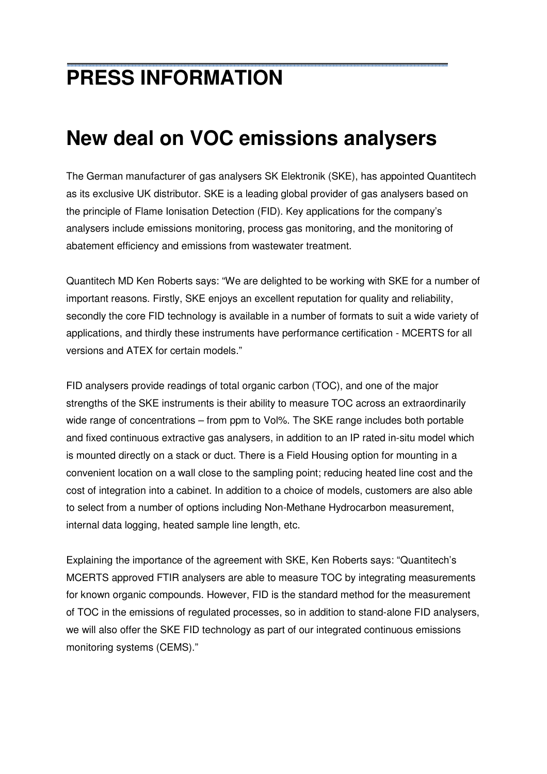## **PRESS INFORMATION**

## **New deal on VOC emissions analysers**

The German manufacturer of gas analysers SK Elektronik (SKE), has appointed Quantitech as its exclusive UK distributor. SKE is a leading global provider of gas analysers based on the principle of Flame Ionisation Detection (FID). Key applications for the company's analysers include emissions monitoring, process gas monitoring, and the monitoring of abatement efficiency and emissions from wastewater treatment.

Quantitech MD Ken Roberts says: "We are delighted to be working with SKE for a number of important reasons. Firstly, SKE enjoys an excellent reputation for quality and reliability, secondly the core FID technology is available in a number of formats to suit a wide variety of applications, and thirdly these instruments have performance certification - MCERTS for all versions and ATEX for certain models."

FID analysers provide readings of total organic carbon (TOC), and one of the major strengths of the SKE instruments is their ability to measure TOC across an extraordinarily wide range of concentrations – from ppm to Vol%. The SKE range includes both portable and fixed continuous extractive gas analysers, in addition to an IP rated in-situ model which is mounted directly on a stack or duct. There is a Field Housing option for mounting in a convenient location on a wall close to the sampling point; reducing heated line cost and the cost of integration into a cabinet. In addition to a choice of models, customers are also able to select from a number of options including Non-Methane Hydrocarbon measurement, internal data logging, heated sample line length, etc.

Explaining the importance of the agreement with SKE, Ken Roberts says: "Quantitech's MCERTS approved FTIR analysers are able to measure TOC by integrating measurements for known organic compounds. However, FID is the standard method for the measurement of TOC in the emissions of regulated processes, so in addition to stand-alone FID analysers, we will also offer the SKE FID technology as part of our integrated continuous emissions monitoring systems (CEMS)."